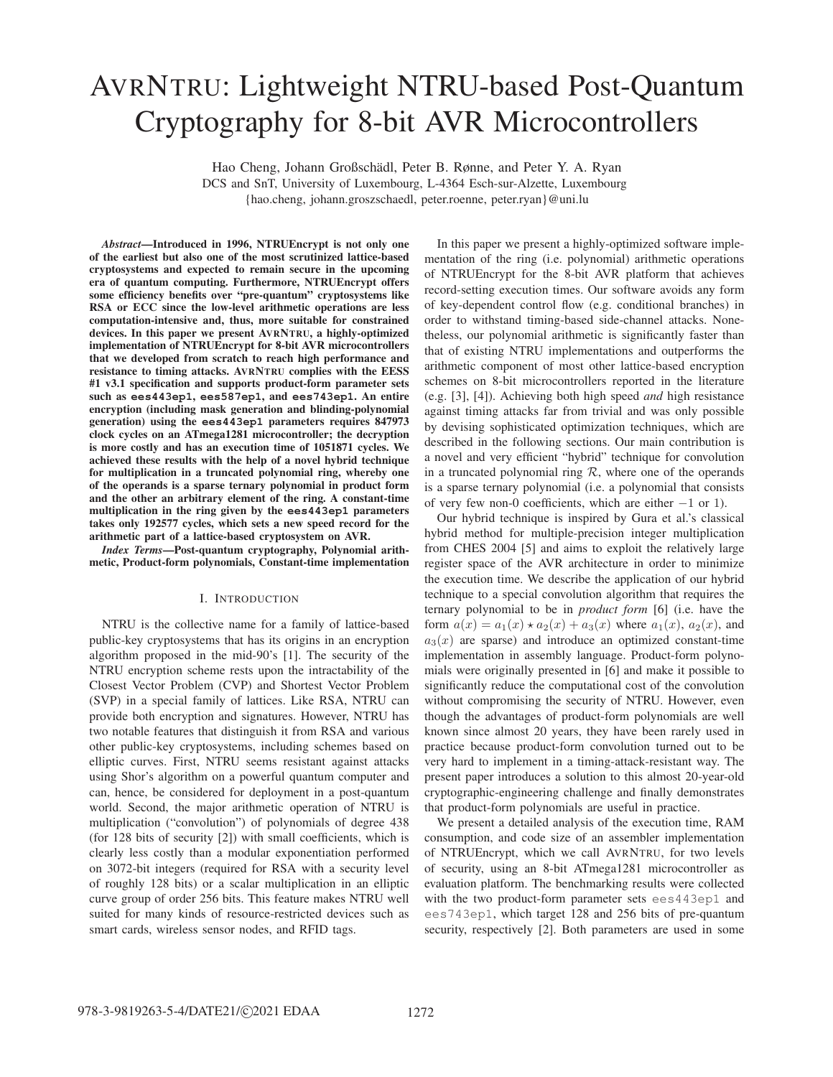# AVRNTRU: Lightweight NTRU-based Post-Quantum Cryptography for 8-bit AVR Microcontrollers

Hao Cheng, Johann Großschädl, Peter B. Rønne, and Peter Y. A. Ryan

DCS and SnT, University of Luxembourg, L-4364 Esch-sur-Alzette, Luxembourg {hao.cheng, johann.groszschaedl, peter.roenne, peter.ryan}@uni.lu

*Abstract*—Introduced in 1996, NTRUEncrypt is not only one of the earliest but also one of the most scrutinized lattice-based cryptosystems and expected to remain secure in the upcoming era of quantum computing. Furthermore, NTRUEncrypt offers some efficiency benefits over "pre-quantum" cryptosystems like RSA or ECC since the low-level arithmetic operations are less computation-intensive and, thus, more suitable for constrained devices. In this paper we present AVRNTRU, a highly-optimized implementation of NTRUEncrypt for 8-bit AVR microcontrollers that we developed from scratch to reach high performance and resistance to timing attacks. AVRNTRU complies with the EESS #1 v3.1 specification and supports product-form parameter sets such as **ees443ep1**, **ees587ep1**, and **ees743ep1**. An entire encryption (including mask generation and blinding-polynomial generation) using the **ees443ep1** parameters requires 847973 clock cycles on an ATmega1281 microcontroller; the decryption is more costly and has an execution time of 1051871 cycles. We achieved these results with the help of a novel hybrid technique for multiplication in a truncated polynomial ring, whereby one of the operands is a sparse ternary polynomial in product form and the other an arbitrary element of the ring. A constant-time multiplication in the ring given by the **ees443ep1** parameters takes only 192577 cycles, which sets a new speed record for the arithmetic part of a lattice-based cryptosystem on AVR.

*Index Terms*—Post-quantum cryptography, Polynomial arithmetic, Product-form polynomials, Constant-time implementation

## I. INTRODUCTION

NTRU is the collective name for a family of lattice-based public-key cryptosystems that has its origins in an encryption algorithm proposed in the mid-90's [1]. The security of the NTRU encryption scheme rests upon the intractability of the Closest Vector Problem (CVP) and Shortest Vector Problem (SVP) in a special family of lattices. Like RSA, NTRU can provide both encryption and signatures. However, NTRU has two notable features that distinguish it from RSA and various other public-key cryptosystems, including schemes based on elliptic curves. First, NTRU seems resistant against attacks using Shor's algorithm on a powerful quantum computer and can, hence, be considered for deployment in a post-quantum world. Second, the major arithmetic operation of NTRU is multiplication ("convolution") of polynomials of degree 438 (for 128 bits of security [2]) with small coefficients, which is clearly less costly than a modular exponentiation performed on 3072-bit integers (required for RSA with a security level of roughly 128 bits) or a scalar multiplication in an elliptic curve group of order 256 bits. This feature makes NTRU well suited for many kinds of resource-restricted devices such as smart cards, wireless sensor nodes, and RFID tags.

In this paper we present a highly-optimized software implementation of the ring (i.e. polynomial) arithmetic operations of NTRUEncrypt for the 8-bit AVR platform that achieves record-setting execution times. Our software avoids any form of key-dependent control flow (e.g. conditional branches) in order to withstand timing-based side-channel attacks. Nonetheless, our polynomial arithmetic is significantly faster than that of existing NTRU implementations and outperforms the arithmetic component of most other lattice-based encryption schemes on 8-bit microcontrollers reported in the literature (e.g. [3], [4]). Achieving both high speed *and* high resistance against timing attacks far from trivial and was only possible by devising sophisticated optimization techniques, which are described in the following sections. Our main contribution is a novel and very efficient "hybrid" technique for convolution in a truncated polynomial ring  $R$ , where one of the operands is a sparse ternary polynomial (i.e. a polynomial that consists of very few non-0 coefficients, which are either −1 or 1).

Our hybrid technique is inspired by Gura et al.'s classical hybrid method for multiple-precision integer multiplication from CHES 2004 [5] and aims to exploit the relatively large register space of the AVR architecture in order to minimize the execution time. We describe the application of our hybrid technique to a special convolution algorithm that requires the ternary polynomial to be in *product form* [6] (i.e. have the form  $a(x) = a_1(x) \star a_2(x) + a_3(x)$  where  $a_1(x)$ ,  $a_2(x)$ , and  $a_3(x)$  are sparse) and introduce an optimized constant-time implementation in assembly language. Product-form polynomials were originally presented in [6] and make it possible to significantly reduce the computational cost of the convolution without compromising the security of NTRU. However, even though the advantages of product-form polynomials are well known since almost 20 years, they have been rarely used in practice because product-form convolution turned out to be very hard to implement in a timing-attack-resistant way. The present paper introduces a solution to this almost 20-year-old cryptographic-engineering challenge and finally demonstrates that product-form polynomials are useful in practice.

We present a detailed analysis of the execution time, RAM consumption, and code size of an assembler implementation of NTRUEncrypt, which we call AVRNTRU, for two levels of security, using an 8-bit ATmega1281 microcontroller as evaluation platform. The benchmarking results were collected with the two product-form parameter sets ees443ep1 and ees743ep1, which target 128 and 256 bits of pre-quantum security, respectively [2]. Both parameters are used in some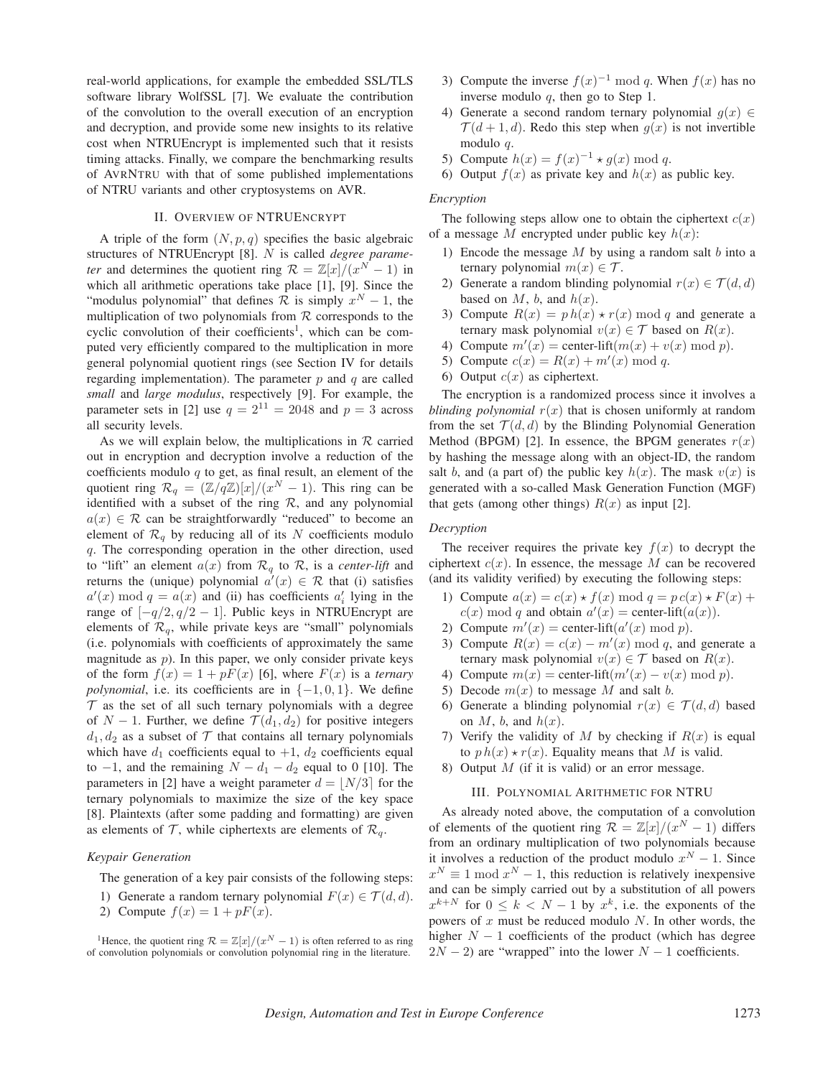real-world applications, for example the embedded SSL/TLS software library WolfSSL [7]. We evaluate the contribution of the convolution to the overall execution of an encryption and decryption, and provide some new insights to its relative cost when NTRUEncrypt is implemented such that it resists timing attacks. Finally, we compare the benchmarking results of AVRNTRU with that of some published implementations of NTRU variants and other cryptosystems on AVR.

# II. OVERVIEW OF NTRUENCRYPT

A triple of the form  $(N, p, q)$  specifies the basic algebraic structures of NTRUEncrypt [8]. N is called *degree parameter* and determines the quotient ring  $\mathcal{R} = \mathbb{Z}[x]/(x^N - 1)$  in which all arithmetic operations take place [1], [9]. Since the "modulus polynomial" that defines  $\mathcal R$  is simply  $x^N - 1$ , the multiplication of two polynomials from  $R$  corresponds to the cyclic convolution of their coefficients<sup>1</sup>, which can be computed very efficiently compared to the multiplication in more general polynomial quotient rings (see Section IV for details regarding implementation). The parameter  $p$  and  $q$  are called *small* and *large modulus*, respectively [9]. For example, the parameter sets in [2] use  $q = 2^{11} = 2048$  and  $p = 3$  across all security levels.

As we will explain below, the multiplications in  $R$  carried out in encryption and decryption involve a reduction of the coefficients modulo  $q$  to get, as final result, an element of the quotient ring  $\mathcal{R}_q = (\mathbb{Z}/q\mathbb{Z})[x]/(x^N - 1)$ . This ring can be identified with a subset of the ring  $R$ , and any polynomial  $a(x) \in \mathcal{R}$  can be straightforwardly "reduced" to become an element of  $\mathcal{R}_{q}$  by reducing all of its N coefficients modulo q. The corresponding operation in the other direction, used to "lift" an element  $a(x)$  from  $\mathcal{R}_q$  to  $\mathcal{R}$ , is a *center-lift* and returns the (unique) polynomial  $a'(x) \in \mathcal{R}$  that (i) satisfies  $a'(x) \bmod q = a(x)$  and (ii) has coefficients  $a'_i$  lying in the range of  $[-q/2, q/2 - 1]$ . Public keys in NTRUEncrypt are elements of  $\mathcal{R}_q$ , while private keys are "small" polynomials (i.e. polynomials with coefficients of approximately the same magnitude as  $p$ ). In this paper, we only consider private keys of the form  $f(x)=1+pF(x)$  [6], where  $F(x)$  is a *ternary polynomial*, i.e. its coefficients are in  $\{-1, 0, 1\}$ . We define  $\mathcal T$  as the set of all such ternary polynomials with a degree of  $N-1$ . Further, we define  $\mathcal{T}(d_1, d_2)$  for positive integers  $d_1, d_2$  as a subset of  $\mathcal T$  that contains all ternary polynomials which have  $d_1$  coefficients equal to  $+1$ ,  $d_2$  coefficients equal to  $-1$ , and the remaining  $N - d_1 - d_2$  equal to 0 [10]. The parameters in [2] have a weight parameter  $d = |N/3|$  for the ternary polynomials to maximize the size of the key space [8]. Plaintexts (after some padding and formatting) are given as elements of  $\mathcal{T}$ , while ciphertexts are elements of  $\mathcal{R}_q$ .

## *Keypair Generation*

The generation of a key pair consists of the following steps:

- 1) Generate a random ternary polynomial  $F(x) \in \mathcal{T}(d, d)$ .
- 2) Compute  $f(x)=1+pF(x)$ .
- 3) Compute the inverse  $f(x)^{-1} \bmod q$ . When  $f(x)$  has no inverse modulo  $q$ , then go to Step 1.
- 4) Generate a second random ternary polynomial  $g(x) \in$  $\mathcal{T}(d+1, d)$ . Redo this step when  $g(x)$  is not invertible modulo q.
- 5) Compute  $h(x) = f(x)^{-1} \star g(x) \bmod q$ .
- 6) Output  $f(x)$  as private key and  $h(x)$  as public key.

## *Encryption*

The following steps allow one to obtain the ciphertext  $c(x)$ of a message M encrypted under public key  $h(x)$ :

- 1) Encode the message  $M$  by using a random salt  $b$  into a ternary polynomial  $m(x) \in \mathcal{T}$ .
- 2) Generate a random blinding polynomial  $r(x) \in \mathcal{T}(d, d)$ based on  $M$ ,  $b$ , and  $h(x)$ .
- 3) Compute  $R(x) = p h(x) \star r(x) \mod q$  and generate a ternary mask polynomial  $v(x) \in \mathcal{T}$  based on  $R(x)$ .
- 4) Compute  $m'(x) = \text{center-lift}(m(x) + v(x) \mod p).$
- 5) Compute  $c(x) = R(x) + m'(x) \bmod q$ .
- 6) Output  $c(x)$  as ciphertext.

The encryption is a randomized process since it involves a *blinding polynomial*  $r(x)$  that is chosen uniformly at random from the set  $\mathcal{T}(d, d)$  by the Blinding Polynomial Generation Method (BPGM) [2]. In essence, the BPGM generates  $r(x)$ by hashing the message along with an object-ID, the random salt b, and (a part of) the public key  $h(x)$ . The mask  $v(x)$  is generated with a so-called Mask Generation Function (MGF) that gets (among other things)  $R(x)$  as input [2].

## *Decryption*

The receiver requires the private key  $f(x)$  to decrypt the ciphertext  $c(x)$ . In essence, the message M can be recovered (and its validity verified) by executing the following steps:

- 1) Compute  $a(x) = c(x) * f(x) \bmod q = p c(x) * F(x) +$  $c(x)$  mod q and obtain  $a'(x)$  = center-lift( $a(x)$ ).
- 2) Compute  $m'(x) = \text{center-lift}(a'(x) \mod p)$ .
- 3) Compute  $R(x) = c(x) m'(x) \bmod q$ , and generate a ternary mask polynomial  $v(x) \in \mathcal{T}$  based on  $R(x)$ .
- 4) Compute  $m(x) =$  center-lift $(m'(x) v(x) \mod p)$ .
- 5) Decode  $m(x)$  to message M and salt b.
- 6) Generate a blinding polynomial  $r(x) \in \mathcal{T}(d,d)$  based on  $M$ ,  $b$ , and  $h(x)$ .
- 7) Verify the validity of M by checking if  $R(x)$  is equal to  $p h(x) \star r(x)$ . Equality means that M is valid.
- 8) Output  $M$  (if it is valid) or an error message.

#### III. POLYNOMIAL ARITHMETIC FOR NTRU

As already noted above, the computation of a convolution of elements of the quotient ring  $\mathcal{R} = \mathbb{Z}[x]/(x^N - 1)$  differs from an ordinary multiplication of two polynomials because it involves a reduction of the product modulo  $x^N - 1$ . Since  $x^N \equiv 1 \mod x^N - 1$ , this reduction is relatively inexpensive and can be simply carried out by a substitution of all powers  $x^{k+N}$  for  $0 \leq k < N-1$  by  $x^k$ , i.e. the exponents of the powers of  $x$  must be reduced modulo  $N$ . In other words, the higher  $N - 1$  coefficients of the product (which has degree  $2N - 2$ ) are "wrapped" into the lower  $N - 1$  coefficients.

<sup>&</sup>lt;sup>1</sup>Hence, the quotient ring  $\mathcal{R} = \mathbb{Z}[x]/(x^N - 1)$  is often referred to as ring of convolution polynomials or convolution polynomial ring in the literature.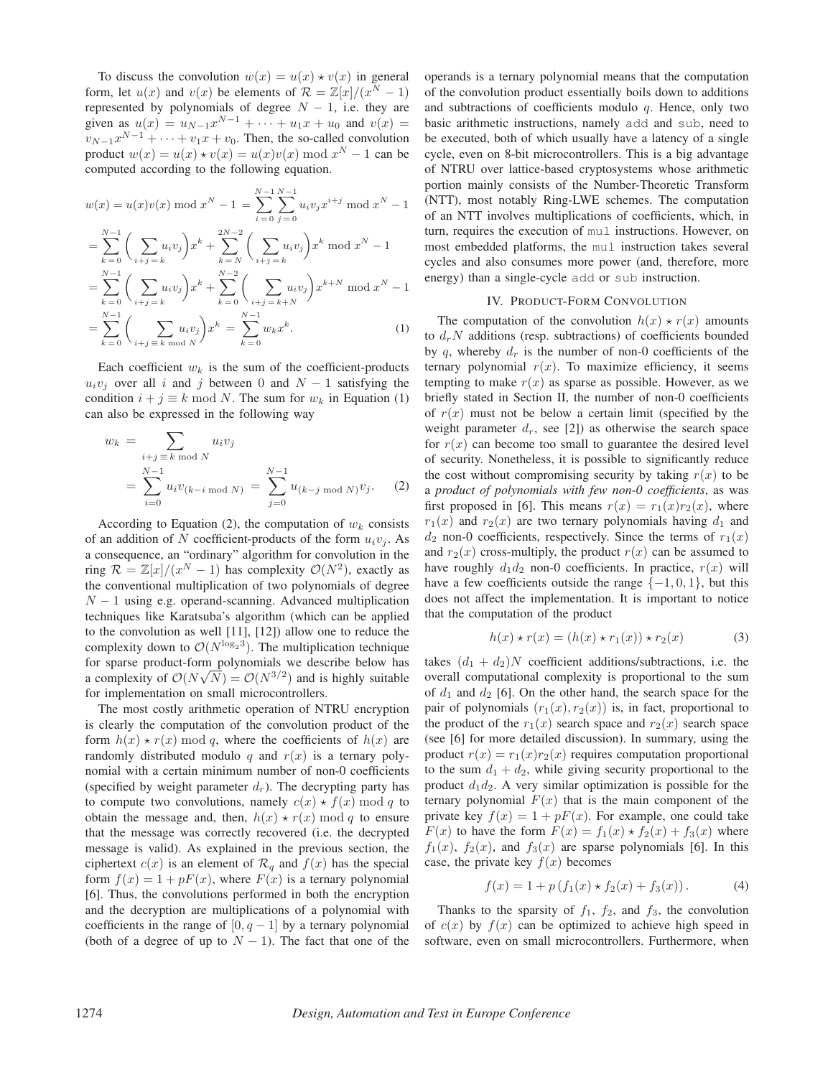To discuss the convolution  $w(x) = u(x) \star v(x)$  in general form, let  $u(x)$  and  $v(x)$  be elements of  $\mathcal{R} = \mathbb{Z}[x]/(x^N - 1)$ represented by polynomials of degree  $N - 1$ , i.e. they are given as  $u(x) = u_{N-1}x^{N-1} + \cdots + u_1x + u_0$  and  $v(x) =$  $v_{N-1}x^{N-1} + \cdots + v_1x + v_0$ . Then, the so-called convolution product  $w(x) = u(x) \star v(x) = u(x)v(x) \mod x^N - 1$  can be computed according to the following equation.

$$
w(x) = u(x)v(x) \text{ mod } x^N - 1 = \sum_{i=0}^{N-1} \sum_{j=0}^{N-1} u_i v_j x^{i+j} \text{ mod } x^N - 1
$$
  
= 
$$
\sum_{k=0}^{N-1} \left( \sum_{i+j=k} u_i v_j \right) x^k + \sum_{k=N}^{2N-2} \left( \sum_{i+j=k} u_i v_j \right) x^k \text{ mod } x^N - 1
$$
  
= 
$$
\sum_{k=0}^{N-1} \left( \sum_{i+j=k} u_i v_j \right) x^k + \sum_{k=0}^{N-2} \left( \sum_{i+j=k+N} u_i v_j \right) x^{k+N} \text{ mod } x^N - 1
$$
  
= 
$$
\sum_{k=0}^{N-1} \left( \sum_{i+j=k \text{ mod } N} u_i v_j \right) x^k = \sum_{k=0}^{N-1} w_k x^k.
$$
 (1)

Each coefficient  $w_k$  is the sum of the coefficient-products  $u_i v_j$  over all i and j between 0 and  $N-1$  satisfying the condition  $i + j \equiv k \mod N$ . The sum for  $w_k$  in Equation (1) can also be expressed in the following way

 $k = 0$   $\setminus i+j \equiv k \mod N$ 

$$
w_k = \sum_{i+j \equiv k \bmod N} u_i v_j
$$
  
= 
$$
\sum_{i=0}^{N-1} u_i v_{(k-i \bmod N)} = \sum_{j=0}^{N-1} u_{(k-j \bmod N)} v_j.
$$
 (2)

According to Equation (2), the computation of  $w_k$  consists of an addition of N coefficient-products of the form  $u_i v_j$ . As a consequence, an "ordinary" algorithm for convolution in the ring  $\mathcal{R} = \mathbb{Z}[x]/(x^N - 1)$  has complexity  $\mathcal{O}(N^2)$ , exactly as the conventional multiplication of two polynomials of degree  $N - 1$  using e.g. operand-scanning. Advanced multiplication techniques like Karatsuba's algorithm (which can be applied to the convolution as well [11], [12]) allow one to reduce the complexity down to  $\mathcal{O}(N^{\log_2 3})$ . The multiplication technique for sparse product-form polynomials we describe below has for sparse product-form polynomials we describe below has<br>a complexity of  $\mathcal{O}(N\sqrt{N}) = \mathcal{O}(N^{3/2})$  and is highly suitable for implementation on small microcontrollers.

The most costly arithmetic operation of NTRU encryption is clearly the computation of the convolution product of the form  $h(x) \star r(x)$  mod q, where the coefficients of  $h(x)$  are randomly distributed modulo q and  $r(x)$  is a ternary polynomial with a certain minimum number of non-0 coefficients (specified by weight parameter  $d<sub>r</sub>$ ). The decrypting party has to compute two convolutions, namely  $c(x) \star f(x) \mod q$  to obtain the message and, then,  $h(x) \star r(x) \mod q$  to ensure that the message was correctly recovered (i.e. the decrypted message is valid). As explained in the previous section, the ciphertext  $c(x)$  is an element of  $\mathcal{R}_q$  and  $f(x)$  has the special form  $f(x) = 1 + pF(x)$ , where  $F(x)$  is a ternary polynomial [6]. Thus, the convolutions performed in both the encryption and the decryption are multiplications of a polynomial with coefficients in the range of  $[0, q-1]$  by a ternary polynomial (both of a degree of up to  $N - 1$ ). The fact that one of the operands is a ternary polynomial means that the computation of the convolution product essentially boils down to additions and subtractions of coefficients modulo  $q$ . Hence, only two basic arithmetic instructions, namely add and sub, need to be executed, both of which usually have a latency of a single cycle, even on 8-bit microcontrollers. This is a big advantage of NTRU over lattice-based cryptosystems whose arithmetic portion mainly consists of the Number-Theoretic Transform (NTT), most notably Ring-LWE schemes. The computation of an NTT involves multiplications of coefficients, which, in turn, requires the execution of mul instructions. However, on most embedded platforms, the mul instruction takes several cycles and also consumes more power (and, therefore, more energy) than a single-cycle add or sub instruction.

#### IV. PRODUCT-FORM CONVOLUTION

The computation of the convolution  $h(x) \star r(x)$  amounts to  $d_rN$  additions (resp. subtractions) of coefficients bounded by q, whereby  $d_r$  is the number of non-0 coefficients of the ternary polynomial  $r(x)$ . To maximize efficiency, it seems tempting to make  $r(x)$  as sparse as possible. However, as we briefly stated in Section II, the number of non-0 coefficients of  $r(x)$  must not be below a certain limit (specified by the weight parameter  $d_r$ , see [2]) as otherwise the search space for  $r(x)$  can become too small to guarantee the desired level of security. Nonetheless, it is possible to significantly reduce the cost without compromising security by taking  $r(x)$  to be a *product of polynomials with few non-0 coefficients*, as was first proposed in [6]. This means  $r(x) = r_1(x)r_2(x)$ , where  $r_1(x)$  and  $r_2(x)$  are two ternary polynomials having  $d_1$  and  $d_2$  non-0 coefficients, respectively. Since the terms of  $r_1(x)$ and  $r_2(x)$  cross-multiply, the product  $r(x)$  can be assumed to have roughly  $d_1 d_2$  non-0 coefficients. In practice,  $r(x)$  will have a few coefficients outside the range  $\{-1, 0, 1\}$ , but this does not affect the implementation. It is important to notice that the computation of the product

$$
h(x) \star r(x) = (h(x) \star r_1(x)) \star r_2(x) \tag{3}
$$

takes  $(d_1 + d_2)N$  coefficient additions/subtractions, i.e. the overall computational complexity is proportional to the sum of  $d_1$  and  $d_2$  [6]. On the other hand, the search space for the pair of polynomials  $(r_1(x), r_2(x))$  is, in fact, proportional to the product of the  $r_1(x)$  search space and  $r_2(x)$  search space (see [6] for more detailed discussion). In summary, using the product  $r(x) = r_1(x)r_2(x)$  requires computation proportional to the sum  $d_1 + d_2$ , while giving security proportional to the product  $d_1d_2$ . A very similar optimization is possible for the ternary polynomial  $F(x)$  that is the main component of the private key  $f(x)=1+pF(x)$ . For example, one could take  $F(x)$  to have the form  $F(x) = f_1(x) \star f_2(x) + f_3(x)$  where  $f_1(x)$ ,  $f_2(x)$ , and  $f_3(x)$  are sparse polynomials [6]. In this case, the private key  $f(x)$  becomes

$$
f(x) = 1 + p(f_1(x) \star f_2(x) + f_3(x)).
$$
 (4)

Thanks to the sparsity of  $f_1$ ,  $f_2$ , and  $f_3$ , the convolution of  $c(x)$  by  $f(x)$  can be optimized to achieve high speed in software, even on small microcontrollers. Furthermore, when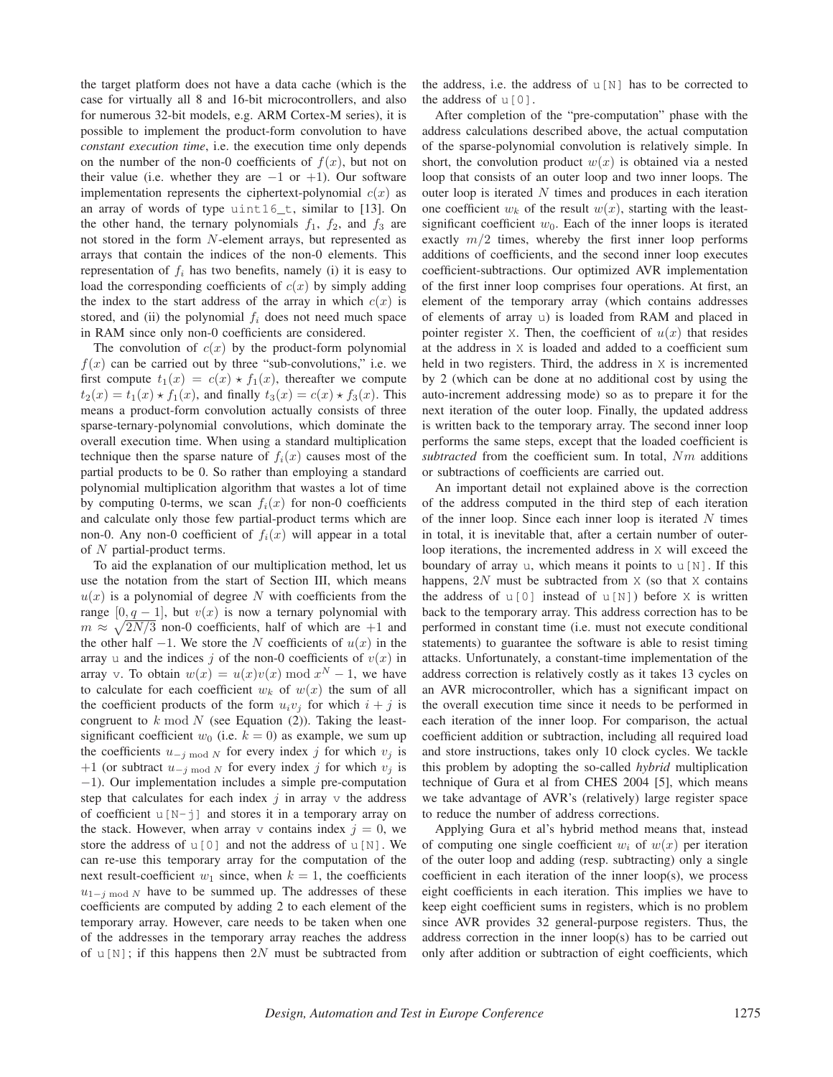the target platform does not have a data cache (which is the case for virtually all 8 and 16-bit microcontrollers, and also for numerous 32-bit models, e.g. ARM Cortex-M series), it is possible to implement the product-form convolution to have *constant execution time*, i.e. the execution time only depends on the number of the non-0 coefficients of  $f(x)$ , but not on their value (i.e. whether they are  $-1$  or  $+1$ ). Our software implementation represents the ciphertext-polynomial  $c(x)$  as an array of words of type uint16\_t, similar to [13]. On the other hand, the ternary polynomials  $f_1$ ,  $f_2$ , and  $f_3$  are not stored in the form N-element arrays, but represented as arrays that contain the indices of the non-0 elements. This representation of  $f_i$  has two benefits, namely (i) it is easy to load the corresponding coefficients of  $c(x)$  by simply adding the index to the start address of the array in which  $c(x)$  is stored, and (ii) the polynomial  $f_i$  does not need much space in RAM since only non-0 coefficients are considered.

The convolution of  $c(x)$  by the product-form polynomial  $f(x)$  can be carried out by three "sub-convolutions," i.e. we first compute  $t_1(x) = c(x) \star f_1(x)$ , thereafter we compute  $t_2(x) = \hat{t}_1(x) \star \hat{f}_1(x)$ , and finally  $t_3(x) = c(x) \star \hat{f}_3(x)$ . This means a product-form convolution actually consists of three sparse-ternary-polynomial convolutions, which dominate the overall execution time. When using a standard multiplication technique then the sparse nature of  $f_i(x)$  causes most of the partial products to be 0. So rather than employing a standard polynomial multiplication algorithm that wastes a lot of time by computing 0-terms, we scan  $f_i(x)$  for non-0 coefficients and calculate only those few partial-product terms which are non-0. Any non-0 coefficient of  $f_i(x)$  will appear in a total of N partial-product terms.

To aid the explanation of our multiplication method, let us use the notation from the start of Section III, which means  $u(x)$  is a polynomial of degree N with coefficients from the range [0, q – 1], but  $v(x)$  is now a ternary polynomial with  $m \approx \sqrt{2N/3}$  non-0 coefficients, half of which are +1 and the other half  $-1$ . We store the N coefficients of  $u(x)$  in the array u and the indices j of the non-0 coefficients of  $v(x)$  in array v. To obtain  $w(x) = u(x)v(x) \bmod x^N - 1$ , we have to calculate for each coefficient  $w_k$  of  $w(x)$  the sum of all the coefficient products of the form  $u_i v_j$  for which  $i + j$  is congruent to  $k \mod N$  (see Equation (2)). Taking the leastsignificant coefficient  $w_0$  (i.e.  $k = 0$ ) as example, we sum up the coefficients  $u_{-j \mod N}$  for every index j for which  $v_j$  is +1 (or subtract  $u_{-j \mod N}$  for every index j for which  $v_j$  is −1). Our implementation includes a simple pre-computation step that calculates for each index  $j$  in array  $\vee$  the address of coefficient  $u[N-j]$  and stores it in a temporary array on the stack. However, when array v contains index  $j = 0$ , we store the address of  $u[0]$  and not the address of  $u[N]$ . We can re-use this temporary array for the computation of the next result-coefficient  $w_1$  since, when  $k = 1$ , the coefficients  $u_{1-j \mod N}$  have to be summed up. The addresses of these coefficients are computed by adding 2 to each element of the temporary array. However, care needs to be taken when one of the addresses in the temporary array reaches the address of  $u[N]$ ; if this happens then 2N must be subtracted from the address, i.e. the address of  $u[N]$  has to be corrected to the address of  $\mathrm{u}[0]$ .

After completion of the "pre-computation" phase with the address calculations described above, the actual computation of the sparse-polynomial convolution is relatively simple. In short, the convolution product  $w(x)$  is obtained via a nested loop that consists of an outer loop and two inner loops. The outer loop is iterated  $N$  times and produces in each iteration one coefficient  $w_k$  of the result  $w(x)$ , starting with the leastsignificant coefficient  $w_0$ . Each of the inner loops is iterated exactly  $m/2$  times, whereby the first inner loop performs additions of coefficients, and the second inner loop executes coefficient-subtractions. Our optimized AVR implementation of the first inner loop comprises four operations. At first, an element of the temporary array (which contains addresses of elements of array u) is loaded from RAM and placed in pointer register X. Then, the coefficient of  $u(x)$  that resides at the address in X is loaded and added to a coefficient sum held in two registers. Third, the address in X is incremented by 2 (which can be done at no additional cost by using the auto-increment addressing mode) so as to prepare it for the next iteration of the outer loop. Finally, the updated address is written back to the temporary array. The second inner loop performs the same steps, except that the loaded coefficient is *subtracted* from the coefficient sum. In total, Nm additions or subtractions of coefficients are carried out.

An important detail not explained above is the correction of the address computed in the third step of each iteration of the inner loop. Since each inner loop is iterated  $N$  times in total, it is inevitable that, after a certain number of outerloop iterations, the incremented address in X will exceed the boundary of array u, which means it points to  $u[N]$ . If this happens,  $2N$  must be subtracted from  $X$  (so that  $X$  contains the address of  $u[0]$  instead of  $u[N]$ ) before X is written back to the temporary array. This address correction has to be performed in constant time (i.e. must not execute conditional statements) to guarantee the software is able to resist timing attacks. Unfortunately, a constant-time implementation of the address correction is relatively costly as it takes 13 cycles on an AVR microcontroller, which has a significant impact on the overall execution time since it needs to be performed in each iteration of the inner loop. For comparison, the actual coefficient addition or subtraction, including all required load and store instructions, takes only 10 clock cycles. We tackle this problem by adopting the so-called *hybrid* multiplication technique of Gura et al from CHES 2004 [5], which means we take advantage of AVR's (relatively) large register space to reduce the number of address corrections.

Applying Gura et al's hybrid method means that, instead of computing one single coefficient  $w_i$  of  $w(x)$  per iteration of the outer loop and adding (resp. subtracting) only a single coefficient in each iteration of the inner loop(s), we process eight coefficients in each iteration. This implies we have to keep eight coefficient sums in registers, which is no problem since AVR provides 32 general-purpose registers. Thus, the address correction in the inner loop(s) has to be carried out only after addition or subtraction of eight coefficients, which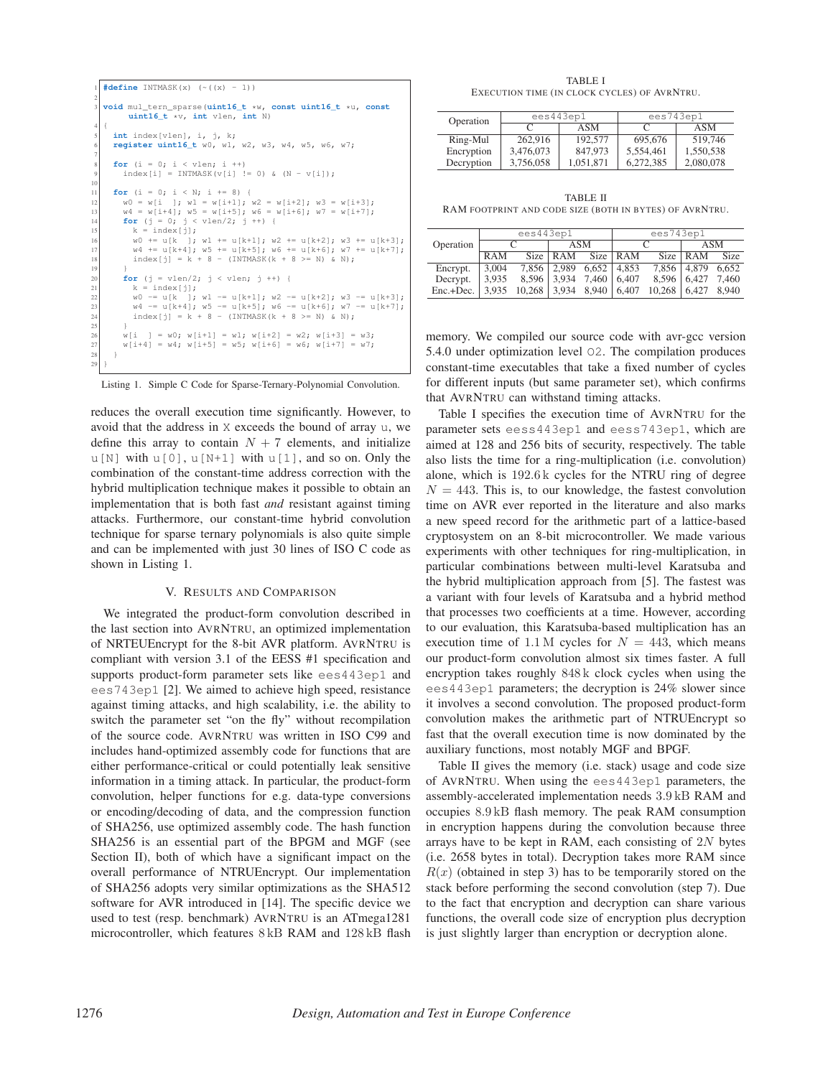```
1 #define INTMASK(x) (~((x) - 1))
2
  3 void mul_tern_sparse(uint16_t *w, const uint16_t *u, const
        uint16_t *v, int vlen, int N)
4 {
    5 int index[vlen], i, j, k;
    6 register uint16_t w0, w1, w2, w3, w4, w5, w6, w7;
7
     for (i = 0; i < vlen; i ++)
       index[i] = INTMASK(v[i] != 0) & (N - v[i]);10
     for (i = 0; i < N; i += 8) {
12 w0 = w[i]; w1 = w[i+1]; w2 = w[i+2]; w3 = w[i+3];<br>
w4 = w[i+4]; w5 = w[i+5]; w6 = w[i+6]; w7 = w[i+7];
       for (j = 0; j < vlen/2; j ++) {
          k = index[j];16 w0 += u[k ]; w1 += u[k+1]; w2 += u[k+2]; w3 += u[k+3];<br>
w4 += u[k+4]; w5 += u[k+5]; w6 += u[k+6]; w7 += u[k+7];
         index[j] = k + 8 - (INTMASK(k + 8 >= N) & N);19 }
       for (j = vlen/2; j < vlen; j ++) {
          k =index[j];
w0 = u[k]; w1 = u[k+1]; w2 = u[k+2]; w3 = u[k+3];<br>
w4 = u[k+4]; w5 = u[k+5]; w6 = u[k+6]; w7 = u[k+7];
         index[j] = k + 8 - (INTMASK(k + 8 >= N) & N);25 }
       \overline{y} wind \overline{y} = w0; w[i+1] = w1; w[i+2] = w2; w[i+3] = w3;
       W[i+4] = W4; W[i+5] = W5; W[i+6] = W6; W[i+7] = W7;
28 }
29 }
```
Listing 1. Simple C Code for Sparse-Ternary-Polynomial Convolution.

reduces the overall execution time significantly. However, to avoid that the address in X exceeds the bound of array u, we define this array to contain  $N + 7$  elements, and initialize  $u[N]$  with  $u[0], u[N+1]$  with  $u[1],$  and so on. Only the combination of the constant-time address correction with the hybrid multiplication technique makes it possible to obtain an implementation that is both fast *and* resistant against timing attacks. Furthermore, our constant-time hybrid convolution technique for sparse ternary polynomials is also quite simple and can be implemented with just 30 lines of ISO C code as shown in Listing 1.

#### V. RESULTS AND COMPARISON

We integrated the product-form convolution described in the last section into AVRNTRU, an optimized implementation of NRTEUEncrypt for the 8-bit AVR platform. AVRNTRU is compliant with version 3.1 of the EESS #1 specification and supports product-form parameter sets like ees443ep1 and ees743ep1 [2]. We aimed to achieve high speed, resistance against timing attacks, and high scalability, i.e. the ability to switch the parameter set "on the fly" without recompilation of the source code. AVRNTRU was written in ISO C99 and includes hand-optimized assembly code for functions that are either performance-critical or could potentially leak sensitive information in a timing attack. In particular, the product-form convolution, helper functions for e.g. data-type conversions or encoding/decoding of data, and the compression function of SHA256, use optimized assembly code. The hash function SHA256 is an essential part of the BPGM and MGF (see Section II), both of which have a significant impact on the overall performance of NTRUEncrypt. Our implementation of SHA256 adopts very similar optimizations as the SHA512 software for AVR introduced in [14]. The specific device we used to test (resp. benchmark) AVRNTRU is an ATmega1281 microcontroller, which features 8 kB RAM and 128 kB flash

TABLE I EXECUTION TIME (IN CLOCK CYCLES) OF AVRNTRU.

| Operation  | ees443ep1 |           | ees743ep1 |           |  |
|------------|-----------|-----------|-----------|-----------|--|
|            |           | ASM       |           | ASM       |  |
| Ring-Mul   | 262,916   | 192,577   | 695,676   | 519,746   |  |
| Encryption | 3,476,073 | 847,973   | 5,554,461 | 1,550,538 |  |
| Decryption | 3,756,058 | 1,051,871 | 6.272.385 | 2,080,078 |  |

TABLE II RAM FOOTPRINT AND CODE SIZE (BOTH IN BYTES) OF AVRNTRU.

| Operation | ees443ep1  |        |            | ees743ep1   |       |        |       |       |
|-----------|------------|--------|------------|-------------|-------|--------|-------|-------|
|           |            |        | ASM        |             |       |        | ASM   |       |
|           | <b>RAM</b> | Size   | <b>RAM</b> | <b>Size</b> | RAM   | Size:  | RAM   | Size  |
| Encrypt.  | 3.004      | 7.856  | 2.989      | 6,652       | 4.853 | 7,856  | 4.879 | 6.652 |
| Decrypt.  | 3.935      | 8.596  | 3.934      | 7.460       | 6.407 | 8.596  | 6.427 | 7.460 |
| Enc.+Dec. | 3.935      | 10.268 | 3.934      | 8.940       | 6.407 | 10.268 | 6.427 | 8.940 |

memory. We compiled our source code with avr-gcc version 5.4.0 under optimization level O2. The compilation produces constant-time executables that take a fixed number of cycles for different inputs (but same parameter set), which confirms that AVRNTRU can withstand timing attacks.

Table I specifies the execution time of AVRNTRU for the parameter sets eess443ep1 and eess743ep1, which are aimed at 128 and 256 bits of security, respectively. The table also lists the time for a ring-multiplication (i.e. convolution) alone, which is 192.6 k cycles for the NTRU ring of degree  $N = 443$ . This is, to our knowledge, the fastest convolution time on AVR ever reported in the literature and also marks a new speed record for the arithmetic part of a lattice-based cryptosystem on an 8-bit microcontroller. We made various experiments with other techniques for ring-multiplication, in particular combinations between multi-level Karatsuba and the hybrid multiplication approach from [5]. The fastest was a variant with four levels of Karatsuba and a hybrid method that processes two coefficients at a time. However, according to our evaluation, this Karatsuba-based multiplication has an execution time of 1.1 M cycles for  $N = 443$ , which means our product-form convolution almost six times faster. A full encryption takes roughly 848 k clock cycles when using the ees443ep1 parameters; the decryption is 24% slower since it involves a second convolution. The proposed product-form convolution makes the arithmetic part of NTRUEncrypt so fast that the overall execution time is now dominated by the auxiliary functions, most notably MGF and BPGF.

Table II gives the memory (i.e. stack) usage and code size of AVRNTRU. When using the ees443ep1 parameters, the assembly-accelerated implementation needs 3.9 kB RAM and occupies 8.9 kB flash memory. The peak RAM consumption in encryption happens during the convolution because three arrays have to be kept in RAM, each consisting of  $2N$  bytes (i.e. 2658 bytes in total). Decryption takes more RAM since  $R(x)$  (obtained in step 3) has to be temporarily stored on the stack before performing the second convolution (step 7). Due to the fact that encryption and decryption can share various functions, the overall code size of encryption plus decryption is just slightly larger than encryption or decryption alone.